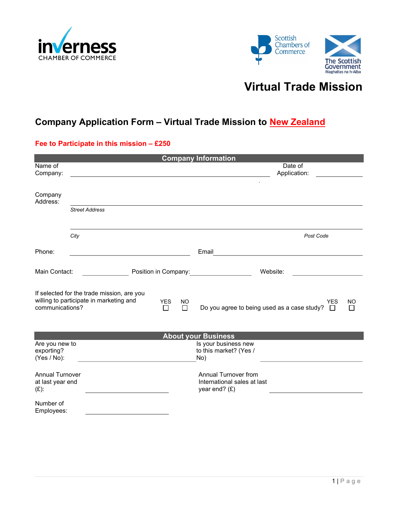



# Virtual Trade Mission

## Company Application Form - Virtual Trade Mission to New Zealand

#### Fee to Participate in this mission – £250

| <b>Company Information</b>                                                                               |                       |                 |                                                       |                                                                               |  |  |
|----------------------------------------------------------------------------------------------------------|-----------------------|-----------------|-------------------------------------------------------|-------------------------------------------------------------------------------|--|--|
| Name of<br>Company:                                                                                      |                       |                 |                                                       | Date of<br>Application:                                                       |  |  |
|                                                                                                          |                       |                 |                                                       |                                                                               |  |  |
| Company<br>Address:                                                                                      |                       |                 |                                                       |                                                                               |  |  |
|                                                                                                          | <b>Street Address</b> |                 |                                                       |                                                                               |  |  |
|                                                                                                          | City                  |                 |                                                       | Post Code                                                                     |  |  |
| Phone:                                                                                                   |                       |                 |                                                       | Email<br><u> 1989 - Andrea Andrew Maria (b. 1989)</u>                         |  |  |
| Main Contact:                                                                                            |                       |                 |                                                       | Position in Company: Notified the Company:<br>Website:                        |  |  |
| If selected for the trade mission, are you<br>willing to participate in marketing and<br>communications? |                       | <b>YES</b><br>□ | <b>NO</b><br>$\Box$                                   | <b>YES</b><br>NO<br>Do you agree to being used as a case study?<br>Л          |  |  |
| <b>About your Business</b>                                                                               |                       |                 |                                                       |                                                                               |  |  |
| Are you new to<br>exporting?<br>(Yes / No):                                                              |                       |                 | Is your business new<br>to this market? (Yes /<br>No) |                                                                               |  |  |
| <b>Annual Turnover</b><br>at last year end<br>$(E)$ :                                                    |                       |                 |                                                       | <b>Annual Turnover from</b><br>International sales at last<br>year end? $(E)$ |  |  |
| Number of<br>Employees:                                                                                  |                       |                 |                                                       |                                                                               |  |  |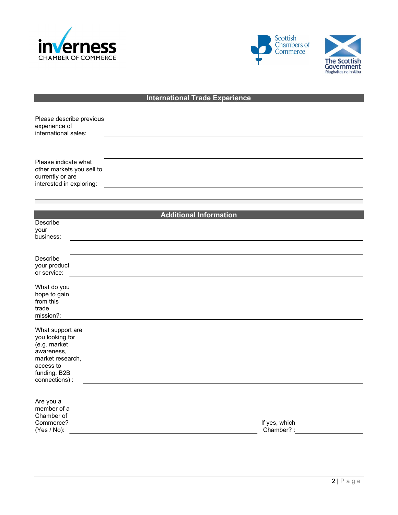





### **International Trade Experience**

| Please describe previous<br>experience of<br>international sales:                                                                    |                               |
|--------------------------------------------------------------------------------------------------------------------------------------|-------------------------------|
| Please indicate what<br>other markets you sell to<br>currently or are<br>interested in exploring:                                    |                               |
|                                                                                                                                      |                               |
| Describe<br>your<br>business:                                                                                                        | <b>Additional Information</b> |
| Describe<br>your product<br>or service:                                                                                              |                               |
| What do you<br>hope to gain<br>from this<br>trade<br>mission?:                                                                       |                               |
| What support are<br>you looking for<br>(e.g. market<br>awareness,<br>market research,<br>access to<br>funding, B2B<br>connections) : |                               |
| Are you a<br>member of a<br>Chamber of<br>Commerce?<br>(Yes / No):                                                                   | If yes, which<br>Chamber?:    |